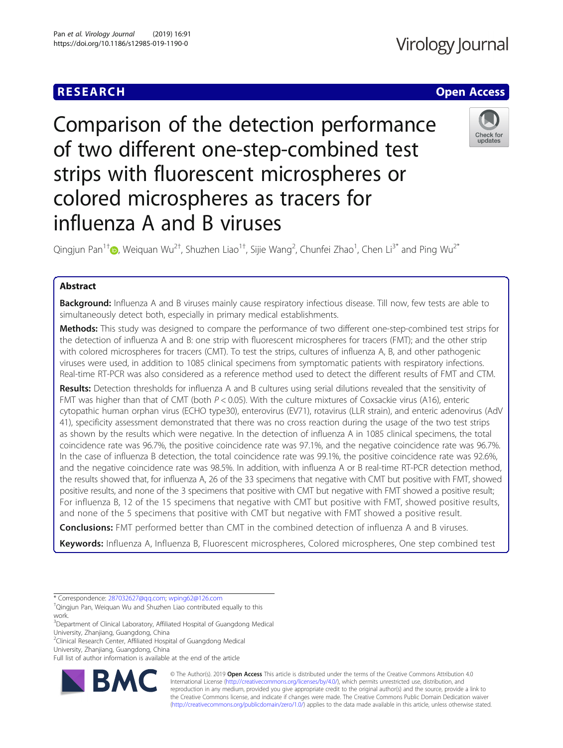# **RESEARCH CHE Open Access**

Comparison of the detection performance of two different one-step-combined test strips with fluorescent microspheres or colored microspheres as tracers for influenza A and B viruses



Qingjun Pan $^{1\dagger}$ @, Weiquan Wu $^{2\dagger}$ , Shuzhen Liao $^{1\dagger}$ , Sijie Wang $^2$ , Chunfei Zhao $^1$ , Chen Li $^{3^\ast}$  and Ping Wu $^{2^\ast}$ 

## Abstract

Background: Influenza A and B viruses mainly cause respiratory infectious disease. Till now, few tests are able to simultaneously detect both, especially in primary medical establishments.

Methods: This study was designed to compare the performance of two different one-step-combined test strips for the detection of influenza A and B: one strip with fluorescent microspheres for tracers (FMT); and the other strip with colored microspheres for tracers (CMT). To test the strips, cultures of influenza A, B, and other pathogenic viruses were used, in addition to 1085 clinical specimens from symptomatic patients with respiratory infections. Real-time RT-PCR was also considered as a reference method used to detect the different results of FMT and CTM.

Results: Detection thresholds for influenza A and B cultures using serial dilutions revealed that the sensitivity of FMT was higher than that of CMT (both  $P < 0.05$ ). With the culture mixtures of Coxsackie virus (A16), enteric cytopathic human orphan virus (ECHO type30), enterovirus (EV71), rotavirus (LLR strain), and enteric adenovirus (AdV 41), specificity assessment demonstrated that there was no cross reaction during the usage of the two test strips as shown by the results which were negative. In the detection of influenza A in 1085 clinical specimens, the total coincidence rate was 96.7%, the positive coincidence rate was 97.1%, and the negative coincidence rate was 96.7%. In the case of influenza B detection, the total coincidence rate was 99.1%, the positive coincidence rate was 92.6%, and the negative coincidence rate was 98.5%. In addition, with influenza A or B real-time RT-PCR detection method, the results showed that, for influenza A, 26 of the 33 specimens that negative with CMT but positive with FMT, showed positive results, and none of the 3 specimens that positive with CMT but negative with FMT showed a positive result; For influenza B, 12 of the 15 specimens that negative with CMT but positive with FMT, showed positive results, and none of the 5 specimens that positive with CMT but negative with FMT showed a positive result.

**Conclusions:** FMT performed better than CMT in the combined detection of influenza A and B viruses.

Keywords: Influenza A, Influenza B, Fluorescent microspheres, Colored microspheres, One step combined test

\* Correspondence: [287032627@qq.com](mailto:287032627@qq.com); [wping62@126.com](mailto:wping62@126.com) †

Qingjun Pan, Weiquan Wu and Shuzhen Liao contributed equally to this work.

<sup>3</sup>Department of Clinical Laboratory, Affiliated Hospital of Guangdong Medical University, Zhanjiang, Guangdong, China

<sup>2</sup>Clinical Research Center, Affiliated Hospital of Guangdong Medical

University, Zhanjiang, Guangdong, China

Full list of author information is available at the end of the article



© The Author(s). 2019 **Open Access** This article is distributed under the terms of the Creative Commons Attribution 4.0 International License [\(http://creativecommons.org/licenses/by/4.0/](http://creativecommons.org/licenses/by/4.0/)), which permits unrestricted use, distribution, and reproduction in any medium, provided you give appropriate credit to the original author(s) and the source, provide a link to the Creative Commons license, and indicate if changes were made. The Creative Commons Public Domain Dedication waiver [\(http://creativecommons.org/publicdomain/zero/1.0/](http://creativecommons.org/publicdomain/zero/1.0/)) applies to the data made available in this article, unless otherwise stated.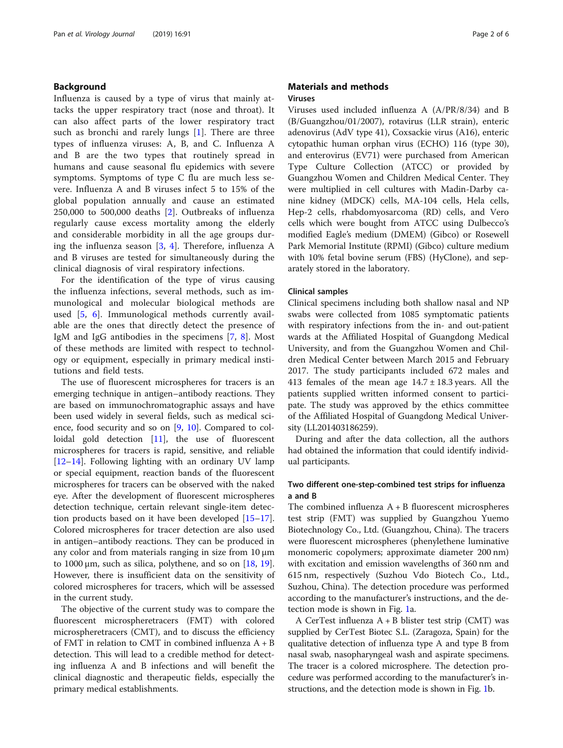### Background

Influenza is caused by a type of virus that mainly attacks the upper respiratory tract (nose and throat). It can also affect parts of the lower respiratory tract such as bronchi and rarely lungs [[1\]](#page-5-0). There are three types of influenza viruses: A, B, and C. Influenza A and B are the two types that routinely spread in humans and cause seasonal flu epidemics with severe symptoms. Symptoms of type C flu are much less severe. Influenza A and B viruses infect 5 to 15% of the global population annually and cause an estimated 250,000 to 500,000 deaths [\[2](#page-5-0)]. Outbreaks of influenza regularly cause excess mortality among the elderly and considerable morbidity in all the age groups during the influenza season  $[3, 4]$  $[3, 4]$  $[3, 4]$  $[3, 4]$  $[3, 4]$ . Therefore, influenza A and B viruses are tested for simultaneously during the clinical diagnosis of viral respiratory infections.

For the identification of the type of virus causing the influenza infections, several methods, such as immunological and molecular biological methods are used [[5,](#page-5-0) [6\]](#page-5-0). Immunological methods currently available are the ones that directly detect the presence of IgM and IgG antibodies in the specimens [\[7](#page-5-0), [8\]](#page-5-0). Most of these methods are limited with respect to technology or equipment, especially in primary medical institutions and field tests.

The use of fluorescent microspheres for tracers is an emerging technique in antigen–antibody reactions. They are based on immunochromatographic assays and have been used widely in several fields, such as medical science, food security and so on [\[9,](#page-5-0) [10\]](#page-5-0). Compared to col-loidal gold detection [[11\]](#page-5-0), the use of fluorescent microspheres for tracers is rapid, sensitive, and reliable [[12](#page-5-0)–[14](#page-5-0)]. Following lighting with an ordinary UV lamp or special equipment, reaction bands of the fluorescent microspheres for tracers can be observed with the naked eye. After the development of fluorescent microspheres detection technique, certain relevant single-item detection products based on it have been developed [[15](#page-5-0)–[17](#page-5-0)]. Colored microspheres for tracer detection are also used in antigen–antibody reactions. They can be produced in any color and from materials ranging in size from 10 μm to 1000 μm, such as silica, polythene, and so on  $[18, 19]$  $[18, 19]$  $[18, 19]$  $[18, 19]$ . However, there is insufficient data on the sensitivity of colored microspheres for tracers, which will be assessed in the current study.

The objective of the current study was to compare the fluorescent microspheretracers (FMT) with colored microspheretracers (CMT), and to discuss the efficiency of FMT in relation to CMT in combined influenza A + B detection. This will lead to a credible method for detecting influenza A and B infections and will benefit the clinical diagnostic and therapeutic fields, especially the primary medical establishments.

### Materials and methods Viruses

Viruses used included influenza A (A/PR/8/34) and B (B/Guangzhou/01/2007), rotavirus (LLR strain), enteric adenovirus (AdV type 41), Coxsackie virus (A16), enteric cytopathic human orphan virus (ECHO) 116 (type 30), and enterovirus (EV71) were purchased from American Type Culture Collection (ATCC) or provided by Guangzhou Women and Children Medical Center. They were multiplied in cell cultures with Madin-Darby canine kidney (MDCK) cells, MA-104 cells, Hela cells, Hep-2 cells, rhabdomyosarcoma (RD) cells, and Vero cells which were bought from ATCC using Dulbecco's modified Eagle's medium (DMEM) (Gibco) or Rosewell Park Memorial Institute (RPMI) (Gibco) culture medium with 10% fetal bovine serum (FBS) (HyClone), and separately stored in the laboratory.

### Clinical samples

Clinical specimens including both shallow nasal and NP swabs were collected from 1085 symptomatic patients with respiratory infections from the in- and out-patient wards at the Affiliated Hospital of Guangdong Medical University, and from the Guangzhou Women and Children Medical Center between March 2015 and February 2017. The study participants included 672 males and 413 females of the mean age  $14.7 \pm 18.3$  years. All the patients supplied written informed consent to participate. The study was approved by the ethics committee of the Affiliated Hospital of Guangdong Medical University (LL201403186259).

During and after the data collection, all the authors had obtained the information that could identify individual participants.

### Two different one-step-combined test strips for influenza a and B

The combined influenza  $A + B$  fluorescent microspheres test strip (FMT) was supplied by Guangzhou Yuemo Biotechnology Co., Ltd. (Guangzhou, China). The tracers were fluorescent microspheres (phenylethene luminative monomeric copolymers; approximate diameter 200 nm) with excitation and emission wavelengths of 360 nm and 615 nm, respectively (Suzhou Vdo Biotech Co., Ltd., Suzhou, China). The detection procedure was performed according to the manufacturer's instructions, and the detection mode is shown in Fig. [1a](#page-2-0).

A CerTest influenza  $A + B$  blister test strip (CMT) was supplied by CerTest Biotec S.L. (Zaragoza, Spain) for the qualitative detection of influenza type A and type B from nasal swab, nasopharyngeal wash and aspirate specimens. The tracer is a colored microsphere. The detection procedure was performed according to the manufacturer's instructions, and the detection mode is shown in Fig. [1](#page-2-0)b.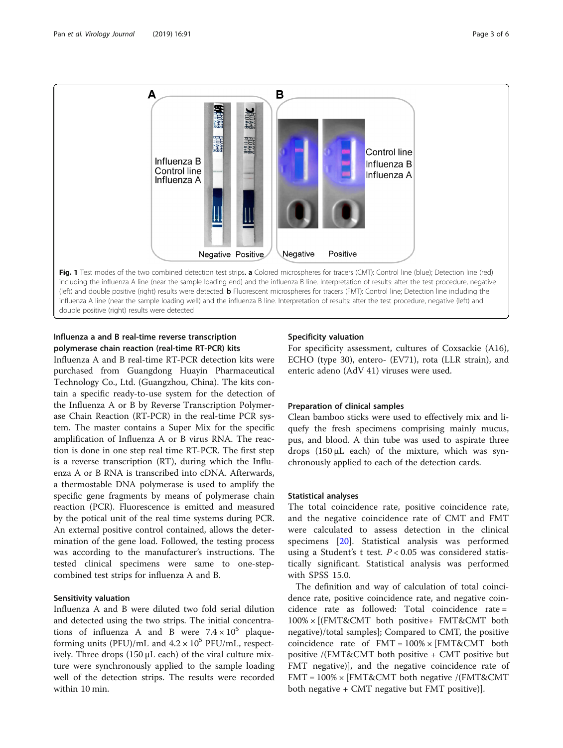<span id="page-2-0"></span>

## Influenza a and B real-time reverse transcription polymerase chain reaction (real-time RT-PCR) kits

Influenza A and B real-time RT-PCR detection kits were purchased from Guangdong Huayin Pharmaceutical Technology Co., Ltd. (Guangzhou, China). The kits contain a specific ready-to-use system for the detection of the Influenza A or B by Reverse Transcription Polymerase Chain Reaction (RT-PCR) in the real-time PCR system. The master contains a Super Mix for the specific amplification of Influenza A or B virus RNA. The reaction is done in one step real time RT-PCR. The first step is a reverse transcription (RT), during which the Influenza A or B RNA is transcribed into cDNA. Afterwards, a thermostable DNA polymerase is used to amplify the specific gene fragments by means of polymerase chain reaction (PCR). Fluorescence is emitted and measured by the potical unit of the real time systems during PCR. An external positive control contained, allows the determination of the gene load. Followed, the testing process was according to the manufacturer's instructions. The tested clinical specimens were same to one-stepcombined test strips for influenza A and B.

### Sensitivity valuation

Influenza A and B were diluted two fold serial dilution and detected using the two strips. The initial concentrations of influenza A and B were  $7.4 \times 10^5$  plaqueforming units (PFU)/mL and  $4.2 \times 10^5$  PFU/mL, respectively. Three drops (150 μL each) of the viral culture mixture were synchronously applied to the sample loading well of the detection strips. The results were recorded within 10 min.

### Specificity valuation

For specificity assessment, cultures of Coxsackie (A16), ECHO (type 30), entero- (EV71), rota (LLR strain), and enteric adeno (AdV 41) viruses were used.

### Preparation of clinical samples

Clean bamboo sticks were used to effectively mix and liquefy the fresh specimens comprising mainly mucus, pus, and blood. A thin tube was used to aspirate three drops (150 μL each) of the mixture, which was synchronously applied to each of the detection cards.

### Statistical analyses

The total coincidence rate, positive coincidence rate, and the negative coincidence rate of CMT and FMT were calculated to assess detection in the clinical specimens [\[20](#page-5-0)]. Statistical analysis was performed using a Student's t test.  $P < 0.05$  was considered statistically significant. Statistical analysis was performed with SPSS 15.0.

The definition and way of calculation of total coincidence rate, positive coincidence rate, and negative coincidence rate as followed: Total coincidence rate = 100% × [(FMT&CMT both positive+ FMT&CMT both negative)/total samples]; Compared to CMT, the positive coincidence rate of  $FMT = 100\% \times [FMT\&CMT$  both positive /(FMT&CMT both positive + CMT positive but FMT negative)], and the negative coincidence rate of FMT = 100% × [FMT&CMT both negative /(FMT&CMT both negative + CMT negative but FMT positive)].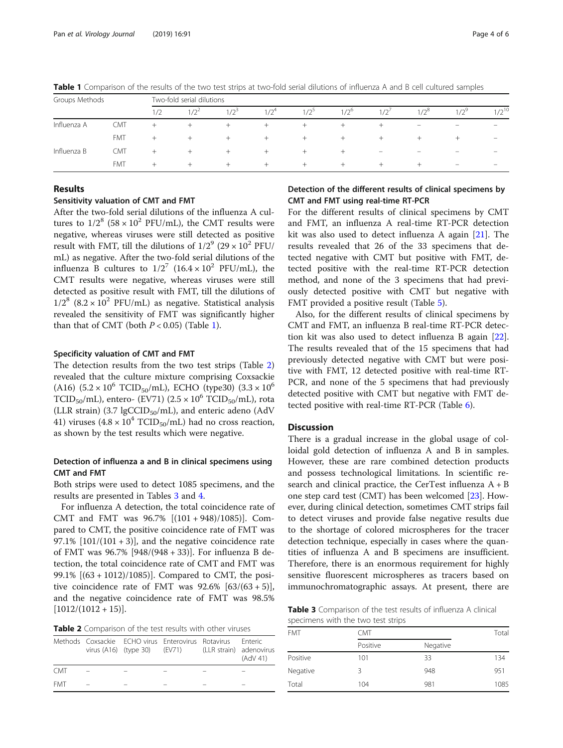| Groups Methods |            | Two-fold serial dilutions |         |         |         |         |               |                          |                   |                          |                          |
|----------------|------------|---------------------------|---------|---------|---------|---------|---------------|--------------------------|-------------------|--------------------------|--------------------------|
|                |            | 1/2                       | $1/2^2$ | $1/2^3$ | $1/2^4$ | $1/2^5$ | $1/2^{\circ}$ | 1/2'                     | $1/2^8$           | $12^9$                   | $1/2^{10}$               |
| Influenza A    | <b>CMT</b> | $^+$                      | $^+$    | $^+$    | $^+$    | $^+$    | $^+$          | $+$                      | $\qquad \qquad -$ | $\qquad \qquad -$        | $\overline{\phantom{m}}$ |
|                | <b>FMT</b> | $+$                       | $^+$    | $^+$    | $+$     | $^+$    | $^+$          | $+$                      | $^+$              | $^+$                     | $\qquad \qquad -$        |
| Influenza B    | CMT        | $+$                       | $^+$    | $^+$    | $^+$    | $^+$    | +             | $\overline{\phantom{a}}$ | -                 | $\overline{\phantom{0}}$ | -                        |
|                | <b>FMT</b> | $^{+}$                    | $^+$    | $^+$    | $+$     | $^{+}$  | $^+$          | $+$                      | $^+$              | $\overline{\phantom{m}}$ | $\overline{\phantom{a}}$ |

Table 1 Comparison of the results of the two test strips at two-fold serial dilutions of influenza A and B cell cultured samples

### Results

### Sensitivity valuation of CMT and FMT

After the two-fold serial dilutions of the influenza A cultures to  $1/2^8$  (58 × 10<sup>2</sup> PFU/mL), the CMT results were negative, whereas viruses were still detected as positive result with FMT, till the dilutions of  $1/2^9$  (29 × 10<sup>2</sup> PFU/ mL) as negative. After the two-fold serial dilutions of the influenza B cultures to  $1/2^7$  (16.4 × 10<sup>2</sup> PFU/mL), the CMT results were negative, whereas viruses were still detected as positive result with FMT, till the dilutions of  $1/2^8$  (8.2 × 10<sup>2</sup> PFU/mL) as negative. Statistical analysis revealed the sensitivity of FMT was significantly higher than that of CMT (both  $P < 0.05$ ) (Table 1).

#### Specificity valuation of CMT and FMT

The detection results from the two test strips (Table 2) revealed that the culture mixture comprising Coxsackie (A16)  $(5.2 \times 10^6 \text{ TCID}_{50}/\text{mL})$ , ECHO (type30)  $(3.3 \times 10^6 \text{ m})$ TCID<sub>50</sub>/mL), entero- (EV71) (2.5  $\times$  10<sup>6</sup> TCID<sub>50</sub>/mL), rota (LLR strain) (3.7 lgCCID<sub>50</sub>/mL), and enteric adeno (AdV 41) viruses  $(4.8 \times 10^4 \text{ TCID}_{50}/\text{mL})$  had no cross reaction, as shown by the test results which were negative.

### Detection of influenza a and B in clinical specimens using CMT and FMT

Both strips were used to detect 1085 specimens, and the results are presented in Tables 3 and [4.](#page-4-0)

For influenza A detection, the total coincidence rate of CMT and FMT was 96.7% [(101 + 948)/1085)]. Compared to CMT, the positive coincidence rate of FMT was 97.1%  $[101/(101 + 3)]$ , and the negative coincidence rate of FMT was 96.7% [948/(948 + 33)]. For influenza B detection, the total coincidence rate of CMT and FMT was 99.1% [(63 + 1012)/1085)]. Compared to CMT, the positive coincidence rate of FMT was  $92.6\%$  [63/(63 + 5)], and the negative coincidence rate of FMT was 98.5%  $[1012/(1012+15)].$ 

Table 2 Comparison of the test results with other viruses

|            | Methods Coxsackie ECHO virus Enterovirus Rotavirus<br>virus (A16) (type 30) (EV71) (LLR strain) adenovirus |  | <b>Enteric</b><br>(AdV 41) |
|------------|------------------------------------------------------------------------------------------------------------|--|----------------------------|
| <b>CMT</b> |                                                                                                            |  |                            |
| <b>FMT</b> |                                                                                                            |  |                            |

### Detection of the different results of clinical specimens by CMT and FMT using real-time RT-PCR

For the different results of clinical specimens by CMT and FMT, an influenza A real-time RT-PCR detection kit was also used to detect influenza A again  $[21]$  $[21]$ . The results revealed that 26 of the 33 specimens that detected negative with CMT but positive with FMT, detected positive with the real-time RT-PCR detection method, and none of the 3 specimens that had previously detected positive with CMT but negative with FMT provided a positive result (Table [5\)](#page-4-0).

Also, for the different results of clinical specimens by CMT and FMT, an influenza B real-time RT-PCR detection kit was also used to detect influenza B again [\[22](#page-5-0)]. The results revealed that of the 15 specimens that had previously detected negative with CMT but were positive with FMT, 12 detected positive with real-time RT-PCR, and none of the 5 specimens that had previously detected positive with CMT but negative with FMT detected positive with real-time RT-PCR (Table [6](#page-4-0)).

### Discussion

There is a gradual increase in the global usage of colloidal gold detection of influenza A and B in samples. However, these are rare combined detection products and possess technological limitations. In scientific research and clinical practice, the CerTest influenza A + B one step card test (CMT) has been welcomed [\[23](#page-5-0)]. However, during clinical detection, sometimes CMT strips fail to detect viruses and provide false negative results due to the shortage of colored microspheres for the tracer detection technique, especially in cases where the quantities of influenza A and B specimens are insufficient. Therefore, there is an enormous requirement for highly sensitive fluorescent microspheres as tracers based on immunochromatographic assays. At present, there are

Table 3 Comparison of the test results of influenza A clinical specimens with the two test strips

| <b>FMT</b> | <b>CMT</b> | Total    |      |
|------------|------------|----------|------|
|            | Positive   | Negative |      |
| Positive   | 101        | 33       | 134  |
| Negative   | ς          | 948      | 951  |
| Total      | 104        | 981      | 1085 |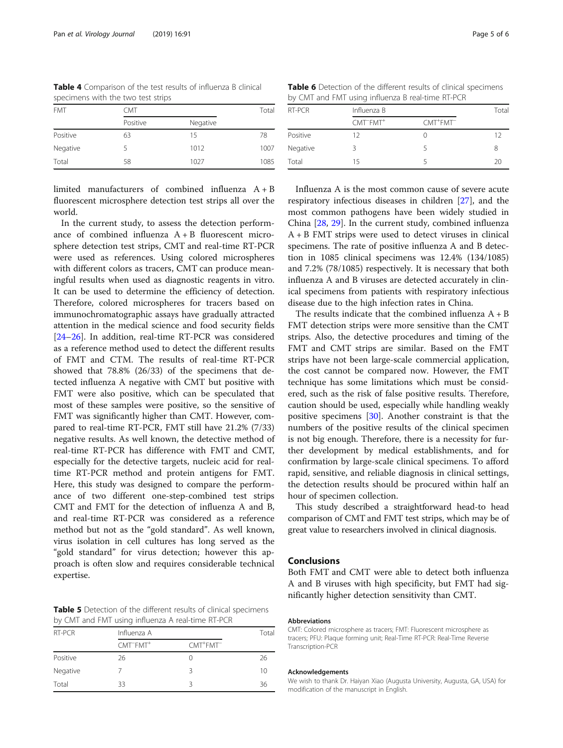| specimens with the two test strips |            |          |  |  |  |
|------------------------------------|------------|----------|--|--|--|
| <b>FMT</b>                         | <b>CMT</b> | Total    |  |  |  |
|                                    | Positive   | Negative |  |  |  |
| Positive                           | 63         | 15       |  |  |  |

Negative 5 1012 1007 Total 58 1027 1085

<span id="page-4-0"></span>Table 4 Comparison of the test results of influenza B clinical

limited manufacturers of combined influenza A + B fluorescent microsphere detection test strips all over the world.

In the current study, to assess the detection performance of combined influenza  $A + B$  fluorescent microsphere detection test strips, CMT and real-time RT-PCR were used as references. Using colored microspheres with different colors as tracers, CMT can produce meaningful results when used as diagnostic reagents in vitro. It can be used to determine the efficiency of detection. Therefore, colored microspheres for tracers based on immunochromatographic assays have gradually attracted attention in the medical science and food security fields [[24](#page-5-0)–[26](#page-5-0)]. In addition, real-time RT-PCR was considered as a reference method used to detect the different results of FMT and CTM. The results of real-time RT-PCR showed that 78.8% (26/33) of the specimens that detected influenza A negative with CMT but positive with FMT were also positive, which can be speculated that most of these samples were positive, so the sensitive of FMT was significantly higher than CMT. However, compared to real-time RT-PCR, FMT still have 21.2% (7/33) negative results. As well known, the detective method of real-time RT-PCR has difference with FMT and CMT, especially for the detective targets, nucleic acid for realtime RT-PCR method and protein antigens for FMT. Here, this study was designed to compare the performance of two different one-step-combined test strips CMT and FMT for the detection of influenza A and B, and real-time RT-PCR was considered as a reference method but not as the "gold standard". As well known, virus isolation in cell cultures has long served as the "gold standard" for virus detection; however this approach is often slow and requires considerable technical expertise.

Table 5 Detection of the different results of clinical specimens by CMT and FMT using influenza A real-time RT-PCR

| RT-PCR   | Influenza A                       | Total                                 |    |
|----------|-----------------------------------|---------------------------------------|----|
|          | CMT <sup>-</sup> FMT <sup>+</sup> | $CMT$ <sup>+</sup> $FMT$ <sup>-</sup> |    |
| Positive | 26                                |                                       | 26 |
| Negative |                                   |                                       | 10 |
| Total    | 33                                |                                       | 36 |

Table 6 Detection of the different results of clinical specimens by CMT and FMT using influenza B real-time RT-PCR

| RT-PCR   | Influenza B                       | Total                                 |    |
|----------|-----------------------------------|---------------------------------------|----|
|          | CMT <sup>-</sup> FMT <sup>+</sup> | $CMT$ <sup>+</sup> $FMT$ <sup>-</sup> |    |
| Positive | 12                                |                                       | 12 |
| Negative |                                   |                                       | 8  |
| Total    | 15                                |                                       | 20 |

Influenza A is the most common cause of severe acute respiratory infectious diseases in children [[27\]](#page-5-0), and the most common pathogens have been widely studied in China [\[28](#page-5-0), [29](#page-5-0)]. In the current study, combined influenza A + B FMT strips were used to detect viruses in clinical specimens. The rate of positive influenza A and B detection in 1085 clinical specimens was 12.4% (134/1085) and 7.2% (78/1085) respectively. It is necessary that both influenza A and B viruses are detected accurately in clinical specimens from patients with respiratory infectious disease due to the high infection rates in China.

The results indicate that the combined influenza  $A + B$ FMT detection strips were more sensitive than the CMT strips. Also, the detective procedures and timing of the FMT and CMT strips are similar. Based on the FMT strips have not been large-scale commercial application, the cost cannot be compared now. However, the FMT technique has some limitations which must be considered, such as the risk of false positive results. Therefore, caution should be used, especially while handling weakly positive specimens [\[30](#page-5-0)]. Another constraint is that the numbers of the positive results of the clinical specimen is not big enough. Therefore, there is a necessity for further development by medical establishments, and for confirmation by large-scale clinical specimens. To afford rapid, sensitive, and reliable diagnosis in clinical settings, the detection results should be procured within half an hour of specimen collection.

This study described a straightforward head-to head comparison of CMT and FMT test strips, which may be of great value to researchers involved in clinical diagnosis.

### Conclusions

Both FMT and CMT were able to detect both influenza A and B viruses with high specificity, but FMT had significantly higher detection sensitivity than CMT.

#### Abbreviations

CMT: Colored microsphere as tracers; FMT: Fluorescent microsphere as tracers; PFU: Plaque forming unit; Real-Time RT-PCR: Real-Time Reverse Transcription-PCR

#### Acknowledgements

We wish to thank Dr. Haiyan Xiao (Augusta University, Augusta, GA, USA) for modification of the manuscript in English.